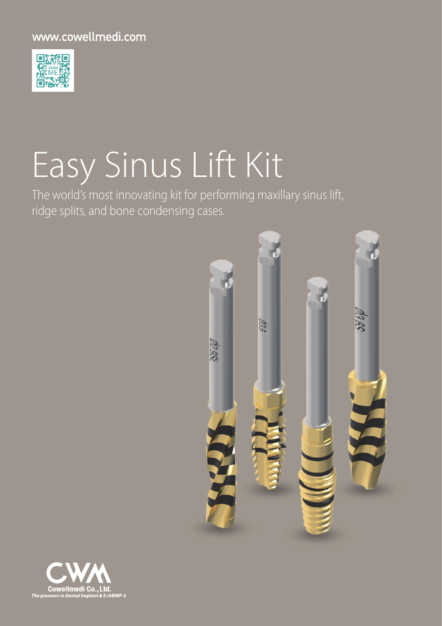## www.cowellmedi.com



# Easy Sinus Lift Kit

The world's most innovating kit for performing maxillary sinus lift, ridge splits, and bone condensing cases.



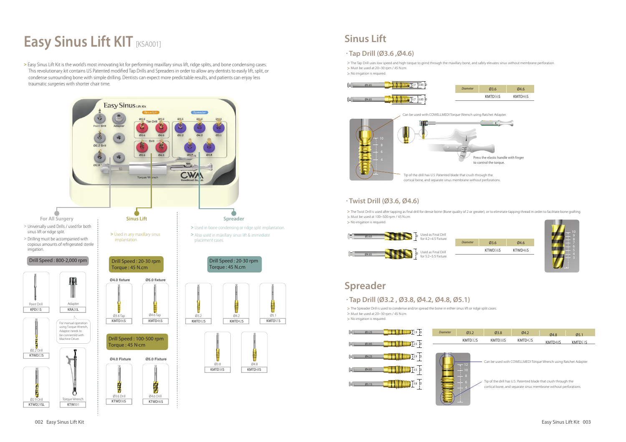## **Easy Sinus Lift KIT [KSA001]**

**>** Easy Sinus Lift Kit is the world's most innovating kit for performing maxillary sinus lift, ridge splits, and bone condensing cases. This revolutionary kit contains US Patented modified Tap Drills and Spreaders in order to allow any dentists to easily lift, split, or condense surrounding bone with simple drilling. Dentists can expect more predictable results, and patients can enjoy less traumatic surgeries with shorter chair time.

> > The Twist Drill is used after tapping as final drill for dense bone (Bone quality of 2 or greater), or to eliminate tapping thread in order to facilitate bone grafting. **>** Must be used at 100~500 rpm / 45 N.cm. **>** No irrigation is required.

| 03.6    | 04.6    |
|---------|---------|
| KTWD36S | KTWD46S |
|         |         |

## **Sinus Lift**

| í                        |
|--------------------------|
| ļ<br>ë                   |
|                          |
|                          |
|                          |
| 109876543<br>i<br>H<br>İ |

**>** The Tap Drill uses low speed and high torque to grind through the maxillary bone, and safely elevates sinus without membrane perforation. **>** Must be used at 20~30 rpm / 45 N.cm.

**>** No irrigation is required.

#### **· Twist Drill (Ø3.6, Ø4.6)**





Tip of the drill has U.S. Patented blade that crush through the cortical bone, and separate sinus membrane without perforations.



## **Spreader**

### **· Tap Drill (Ø3.2 , Ø3.8, Ø4.2, Ø4.8, Ø5.1)**

**>** The Spreader Drill is used to condense and/or spread the bone in either sinus lift or ridge split cases. **>** Must be used at 20~30 rpm / 45 N.cm.

| Ø3.2    | Ø3.8                                                             | $Q$ 4.2 | Ø4.8    | 05.1    |  |  |
|---------|------------------------------------------------------------------|---------|---------|---------|--|--|
| KMTD32S | KMTD38S                                                          | KMTD42S | KMTD48S | KMTD51S |  |  |
|         |                                                                  |         |         |         |  |  |
|         |                                                                  |         |         |         |  |  |
| $-12$   | Can be used with COWELLMEDI Torque Wrench using Ratchet Adapter. |         |         |         |  |  |

**>** No irrigation is required.





Tip of the drill has U.S. Patented blade that crush through the cortical bone, and separate sinus membrane without perforations. 4

### **· Tap Drill (Ø3.6 ,Ø4.6)**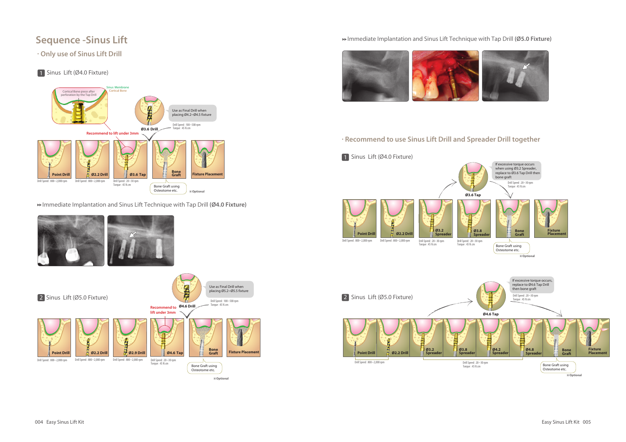## **Sequence -Sinus Lift**

**· Only use of Sinus Lift Drill**

### 1 Sinus Lift (Ø4.0 Fixture)

Immediate Implantation and Sinus Lift Technique with Tap Drill **(Ø4.0 Fixture)**



#### Immediate Implantation and Sinus Lift Technique with Tap Drill **(Ø5.0 Fixture)**







※**Optional**

**· Recommend to use Sinus Lift Drill and Spreader Drill together**





※**Optional**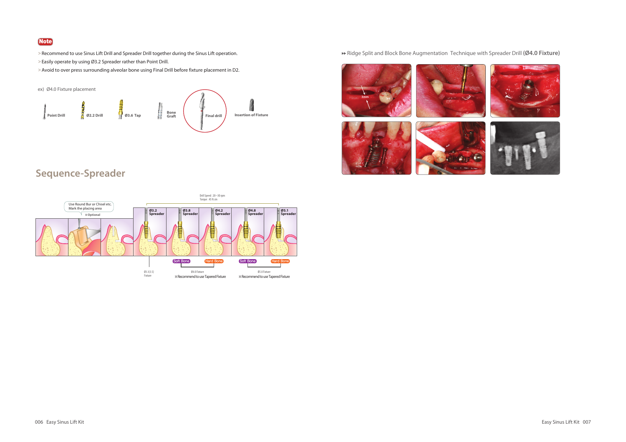## **Sequence-Spreader**













### Ridge Split and Block Bone Augmentation Technique with Spreader Drill **(Ø4.0 Fixture)**



#### **Note**

- **>**Recommend to use Sinus Lift Drill and Spreader Drill together during the Sinus Lift operation.
- **>**Easily operate by using Ø3.2 Spreader rather than Point Drill.
- **>**Avoid to over press surrounding alveolar bone using Final Drill before fixture placement in D2.